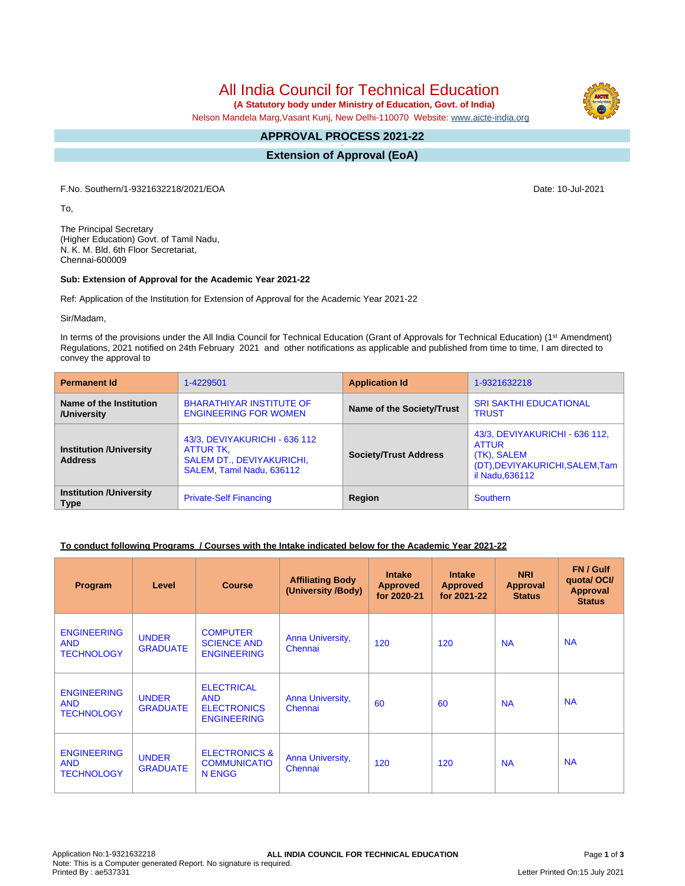All India Council for Technical Education

 **(A Statutory body under Ministry of Education, Govt. of India)**

Nelson Mandela Marg,Vasant Kunj, New Delhi-110070 Website: [www.aicte-india.org](http://www.aicte-india.org)

#### **APPROVAL PROCESS 2021-22 -**

**Extension of Approval (EoA)**

F.No. Southern/1-9321632218/2021/EOA Date: 10-Jul-2021

To,

The Principal Secretary (Higher Education) Govt. of Tamil Nadu, N. K. M. Bld. 6th Floor Secretariat, Chennai-600009

#### **Sub: Extension of Approval for the Academic Year 2021-22**

Ref: Application of the Institution for Extension of Approval for the Academic Year 2021-22

Sir/Madam,

In terms of the provisions under the All India Council for Technical Education (Grant of Approvals for Technical Education) (1<sup>st</sup> Amendment) Regulations, 2021 notified on 24th February 2021 and other notifications as applicable and published from time to time, I am directed to convey the approval to

| <b>Permanent Id</b>                              | 1-4229501                                                                                                   | <b>Application Id</b>        | 1-9321632218                                                                                                       |  |
|--------------------------------------------------|-------------------------------------------------------------------------------------------------------------|------------------------------|--------------------------------------------------------------------------------------------------------------------|--|
| Name of the Institution<br>/University           | <b>BHARATHIYAR INSTITUTE OF</b><br><b>ENGINEERING FOR WOMEN</b>                                             | Name of the Society/Trust    | <b>SRI SAKTHI EDUCATIONAL</b><br><b>TRUST</b>                                                                      |  |
| <b>Institution /University</b><br><b>Address</b> | 43/3, DEVIYAKURICHI - 636 112<br>ATTUR TK,<br><b>SALEM DT., DEVIYAKURICHI,</b><br>SALEM, Tamil Nadu, 636112 | <b>Society/Trust Address</b> | 43/3, DEVIYAKURICHI - 636 112,<br><b>ATTUR</b><br>(TK), SALEM<br>(DT), DEVIYAKURICHI, SALEM, Tam<br>il Nadu.636112 |  |
| <b>Institution /University</b><br><b>Type</b>    | <b>Private-Self Financing</b>                                                                               | Region                       | <b>Southern</b>                                                                                                    |  |

### **To conduct following Programs / Courses with the Intake indicated below for the Academic Year 2021-22**

| Program                                               | Level                           | <b>Course</b>                                                               | <b>Affiliating Body</b><br>(University /Body) | <b>Intake</b><br><b>Approved</b><br>for 2020-21 | <b>Intake</b><br><b>Approved</b><br>for 2021-22 | <b>NRI</b><br>Approval<br><b>Status</b> | FN / Gulf<br>quotal OCI/<br><b>Approval</b><br><b>Status</b> |
|-------------------------------------------------------|---------------------------------|-----------------------------------------------------------------------------|-----------------------------------------------|-------------------------------------------------|-------------------------------------------------|-----------------------------------------|--------------------------------------------------------------|
| <b>ENGINEERING</b><br><b>AND</b><br><b>TECHNOLOGY</b> | <b>UNDER</b><br><b>GRADUATE</b> | <b>COMPUTER</b><br><b>SCIENCE AND</b><br><b>ENGINEERING</b>                 | Anna University,<br>Chennai                   | 120                                             | 120                                             | <b>NA</b>                               | <b>NA</b>                                                    |
| <b>ENGINEERING</b><br><b>AND</b><br><b>TECHNOLOGY</b> | <b>UNDER</b><br><b>GRADUATE</b> | <b>ELECTRICAL</b><br><b>AND</b><br><b>ELECTRONICS</b><br><b>ENGINEERING</b> | Anna University,<br>Chennai                   | 60                                              | 60                                              | <b>NA</b>                               | <b>NA</b>                                                    |
| <b>ENGINEERING</b><br><b>AND</b><br><b>TECHNOLOGY</b> | <b>UNDER</b><br><b>GRADUATE</b> | <b>ELECTRONICS &amp;</b><br><b>COMMUNICATIO</b><br>N ENGG                   | Anna University,<br>Chennai                   | 120                                             | 120                                             | <b>NA</b>                               | <b>NA</b>                                                    |

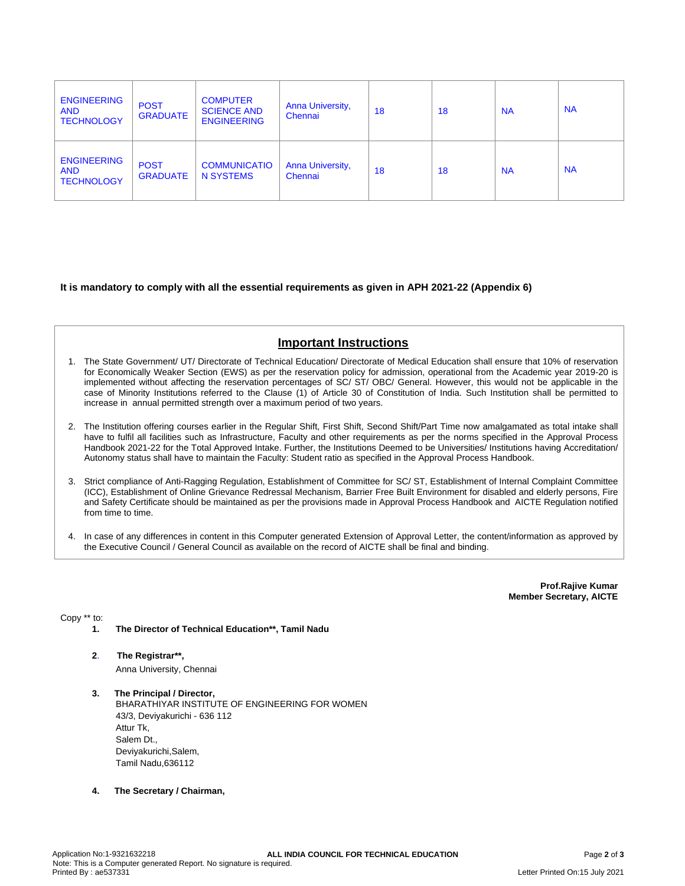| <b>ENGINEERING</b><br><b>AND</b><br><b>TECHNOLOGY</b> | <b>POST</b><br><b>GRADUATE</b> | <b>COMPUTER</b><br><b>SCIENCE AND</b><br><b>ENGINEERING</b> | <b>Anna University,</b><br>Chennai | 18 | 18 | <b>NA</b> | <b>NA</b> |
|-------------------------------------------------------|--------------------------------|-------------------------------------------------------------|------------------------------------|----|----|-----------|-----------|
| <b>ENGINEERING</b><br><b>AND</b><br><b>TECHNOLOGY</b> | <b>POST</b><br><b>GRADUATE</b> | <b>COMMUNICATIO</b><br><b>N SYSTEMS</b>                     | <b>Anna University,</b><br>Chennai | 18 | 18 | <b>NA</b> | <b>NA</b> |

### **It is mandatory to comply with all the essential requirements as given in APH 2021-22 (Appendix 6)**

# **Important Instructions**

- 1. The State Government/ UT/ Directorate of Technical Education/ Directorate of Medical Education shall ensure that 10% of reservation for Economically Weaker Section (EWS) as per the reservation policy for admission, operational from the Academic year 2019-20 is implemented without affecting the reservation percentages of SC/ ST/ OBC/ General. However, this would not be applicable in the case of Minority Institutions referred to the Clause (1) of Article 30 of Constitution of India. Such Institution shall be permitted to increase in annual permitted strength over a maximum period of two years.
- 2. The Institution offering courses earlier in the Regular Shift, First Shift, Second Shift/Part Time now amalgamated as total intake shall have to fulfil all facilities such as Infrastructure, Faculty and other requirements as per the norms specified in the Approval Process Handbook 2021-22 for the Total Approved Intake. Further, the Institutions Deemed to be Universities/ Institutions having Accreditation/ Autonomy status shall have to maintain the Faculty: Student ratio as specified in the Approval Process Handbook.
- 3. Strict compliance of Anti-Ragging Regulation, Establishment of Committee for SC/ ST, Establishment of Internal Complaint Committee (ICC), Establishment of Online Grievance Redressal Mechanism, Barrier Free Built Environment for disabled and elderly persons, Fire and Safety Certificate should be maintained as per the provisions made in Approval Process Handbook and AICTE Regulation notified from time to time.
- 4. In case of any differences in content in this Computer generated Extension of Approval Letter, the content/information as approved by the Executive Council / General Council as available on the record of AICTE shall be final and binding.

**Prof.Rajive Kumar Member Secretary, AICTE**

Copy \*\* to:

- **1. The Director of Technical Education\*\*, Tamil Nadu**
- **2**. **The Registrar\*\*,** Anna University, Chennai
- **3. The Principal / Director,** BHARATHIYAR INSTITUTE OF ENGINEERING FOR WOMEN 43/3, Deviyakurichi - 636 112 Attur Tk, Salem Dt., Deviyakurichi,Salem, Tamil Nadu,636112
- **4. The Secretary / Chairman,**